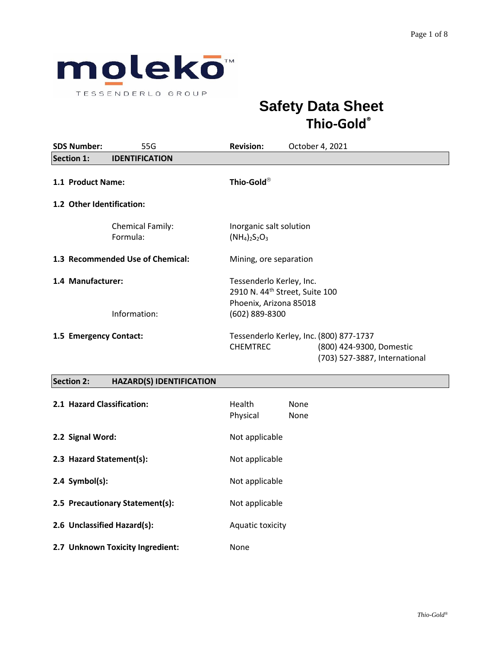

# **Safety Data Sheet Thio-Gold®**

| <b>SDS Number:</b>                         | 55G                                 | <b>Revision:</b>                                                                                                   | October 4, 2021                                                                                      |
|--------------------------------------------|-------------------------------------|--------------------------------------------------------------------------------------------------------------------|------------------------------------------------------------------------------------------------------|
| <b>Section 1:</b><br><b>IDENTIFICATION</b> |                                     |                                                                                                                    |                                                                                                      |
| 1.1 Product Name:                          |                                     | Thio-Gold®                                                                                                         |                                                                                                      |
| 1.2 Other Identification:                  |                                     |                                                                                                                    |                                                                                                      |
|                                            | <b>Chemical Family:</b><br>Formula: | Inorganic salt solution<br>$(NH_4)_2S_2O_3$                                                                        |                                                                                                      |
|                                            | 1.3 Recommended Use of Chemical:    | Mining, ore separation                                                                                             |                                                                                                      |
| 1.4 Manufacturer:<br>Information:          |                                     | Tessenderlo Kerley, Inc.<br>2910 N. 44 <sup>th</sup> Street, Suite 100<br>Phoenix, Arizona 85018<br>(602) 889-8300 |                                                                                                      |
| 1.5 Emergency Contact:                     |                                     | <b>CHEMTREC</b>                                                                                                    | Tessenderlo Kerley, Inc. (800) 877-1737<br>(800) 424-9300, Domestic<br>(703) 527-3887, International |

# **Section 2: HAZARD(S) IDENTIFICATION**

| 2.1 Hazard Classification:       | Health<br>None<br>Physical<br>None |
|----------------------------------|------------------------------------|
| 2.2 Signal Word:                 | Not applicable                     |
| 2.3 Hazard Statement(s):         | Not applicable                     |
| $2.4$ Symbol(s):                 | Not applicable                     |
| 2.5 Precautionary Statement(s):  | Not applicable                     |
| 2.6 Unclassified Hazard(s):      | Aquatic toxicity                   |
| 2.7 Unknown Toxicity Ingredient: | None                               |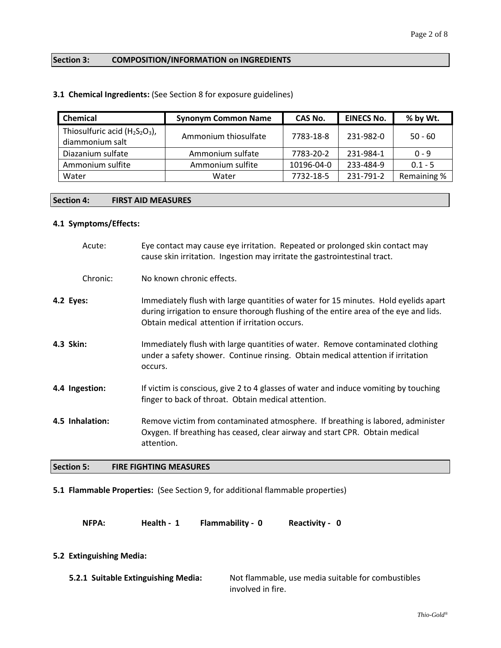# **Section 3: COMPOSITION/INFORMATION on INGREDIENTS**

|  | 3.1 Chemical Ingredients: (See Section 8 for exposure guidelines) |  |  |
|--|-------------------------------------------------------------------|--|--|
|--|-------------------------------------------------------------------|--|--|

| <b>Chemical</b>                                      | <b>Synonym Common Name</b> | CAS No.    | <b>EINECS No.</b> | % by Wt.    |
|------------------------------------------------------|----------------------------|------------|-------------------|-------------|
| Thiosulfuric acid $(H_2S_2O_3)$ ,<br>diammonium salt | Ammonium thiosulfate       | 7783-18-8  | 231-982-0         | $50 - 60$   |
| Diazanium sulfate                                    | Ammonium sulfate           | 7783-20-2  | 231-984-1         | $0 - 9$     |
| Ammonium sulfite                                     | Ammonium sulfite           | 10196-04-0 | 233-484-9         | $0.1 - 5$   |
| Water                                                | Water                      | 7732-18-5  | 231-791-2         | Remaining % |

### **Section 4: FIRST AID MEASURES**

#### **4.1 Symptoms/Effects:**

|           | Acute:          | Eye contact may cause eye irritation. Repeated or prolonged skin contact may<br>cause skin irritation. Ingestion may irritate the gastrointestinal tract.                                                                      |
|-----------|-----------------|--------------------------------------------------------------------------------------------------------------------------------------------------------------------------------------------------------------------------------|
|           | Chronic:        | No known chronic effects.                                                                                                                                                                                                      |
| 4.2 Eyes: |                 | Immediately flush with large quantities of water for 15 minutes. Hold eyelids apart<br>during irrigation to ensure thorough flushing of the entire area of the eye and lids.<br>Obtain medical attention if irritation occurs. |
| 4.3 Skin: |                 | Immediately flush with large quantities of water. Remove contaminated clothing<br>under a safety shower. Continue rinsing. Obtain medical attention if irritation<br>occurs.                                                   |
|           | 4.4 Ingestion:  | If victim is conscious, give 2 to 4 glasses of water and induce vomiting by touching<br>finger to back of throat. Obtain medical attention.                                                                                    |
|           | 4.5 Inhalation: | Remove victim from contaminated atmosphere. If breathing is labored, administer<br>Oxygen. If breathing has ceased, clear airway and start CPR. Obtain medical<br>attention.                                                   |

# **Section 5: FIRE FIGHTING MEASURES**

#### **5.1 Flammable Properties:** (See Section 9, for additional flammable properties)

**NFPA: Health - 1 Flammability - 0 Reactivity - 0**

#### **5.2 Extinguishing Media:**

| 5.2.1 Suitable Extinguishing Media: | Not flammable, use media suitable for combustibles |
|-------------------------------------|----------------------------------------------------|
|                                     | involved in fire.                                  |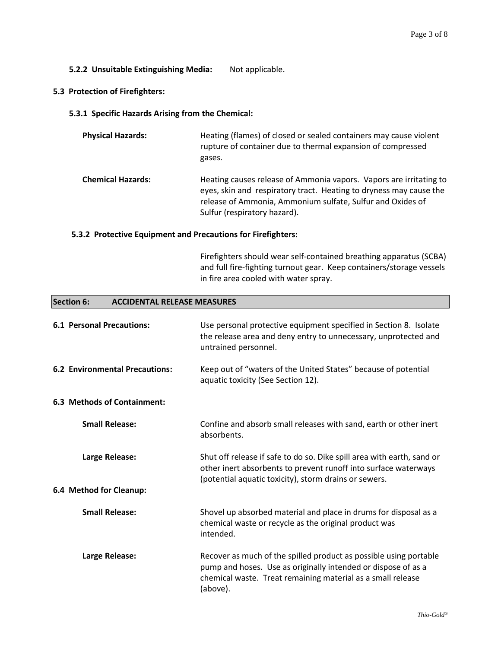**5.2.2 Unsuitable Extinguishing Media:** Not applicable.

#### **5.3 Protection of Firefighters:**

**5.3.1 Specific Hazards Arising from the Chemical:**

| <b>Physical Hazards:</b> | Heating (flames) of closed or sealed containers may cause violent<br>rupture of container due to thermal expansion of compressed<br>gases.                                                                                             |
|--------------------------|----------------------------------------------------------------------------------------------------------------------------------------------------------------------------------------------------------------------------------------|
| <b>Chemical Hazards:</b> | Heating causes release of Ammonia vapors. Vapors are irritating to<br>eyes, skin and respiratory tract. Heating to dryness may cause the<br>release of Ammonia, Ammonium sulfate, Sulfur and Oxides of<br>Sulfur (respiratory hazard). |

#### **5.3.2 Protective Equipment and Precautions for Firefighters:**

Firefighters should wear self-contained breathing apparatus (SCBA) and full fire-fighting turnout gear. Keep containers/storage vessels in fire area cooled with water spray.

#### **Section 6: ACCIDENTAL RELEASE MEASURES**

| <b>6.1 Personal Precautions:</b>      | Use personal protective equipment specified in Section 8. Isolate<br>the release area and deny entry to unnecessary, unprotected and<br>untrained personnel.                                                  |
|---------------------------------------|---------------------------------------------------------------------------------------------------------------------------------------------------------------------------------------------------------------|
| <b>6.2 Environmental Precautions:</b> | Keep out of "waters of the United States" because of potential<br>aquatic toxicity (See Section 12).                                                                                                          |
| 6.3 Methods of Containment:           |                                                                                                                                                                                                               |
| <b>Small Release:</b>                 | Confine and absorb small releases with sand, earth or other inert<br>absorbents.                                                                                                                              |
| Large Release:                        | Shut off release if safe to do so. Dike spill area with earth, sand or<br>other inert absorbents to prevent runoff into surface waterways<br>(potential aquatic toxicity), storm drains or sewers.            |
| 6.4 Method for Cleanup:               |                                                                                                                                                                                                               |
| <b>Small Release:</b>                 | Shovel up absorbed material and place in drums for disposal as a<br>chemical waste or recycle as the original product was<br>intended.                                                                        |
| Large Release:                        | Recover as much of the spilled product as possible using portable<br>pump and hoses. Use as originally intended or dispose of as a<br>chemical waste. Treat remaining material as a small release<br>(above). |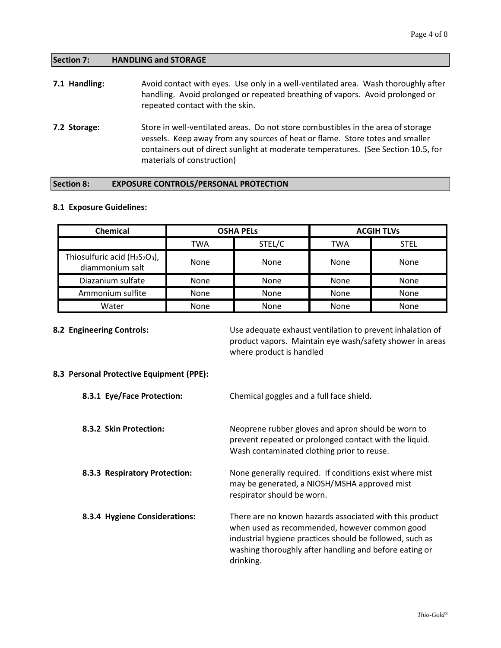#### **Section 7: HANDLING and STORAGE**

| 7.1 Handling: | Avoid contact with eyes. Use only in a well-ventilated area. Wash thoroughly after<br>handling. Avoid prolonged or repeated breathing of vapors. Avoid prolonged or<br>repeated contact with the skin. |
|---------------|--------------------------------------------------------------------------------------------------------------------------------------------------------------------------------------------------------|
| 7.2 Storage:  | Store in well-ventilated areas. Do not store combustibles in the area of storage<br>ilang ang taong pangalang pangangang at haat ng flama. Chang tatag ang lamallan                                    |

vessels. Keep away from any sources of heat or flame. Store totes and smaller containers out of direct sunlight at moderate temperatures. (See Section 10.5, for materials of construction)

#### **Section 8: EXPOSURE CONTROLS/PERSONAL PROTECTION**

#### **8.1 Exposure Guidelines:**

| Chemical                                             |             | <b>OSHA PELS</b> |      | <b>ACGIH TLVs</b> |
|------------------------------------------------------|-------------|------------------|------|-------------------|
|                                                      | TWA         | STEL/C           | TWA  | <b>STEL</b>       |
| Thiosulfuric acid $(H_2S_2O_3)$ ,<br>diammonium salt | None        | None             | None | None              |
| Diazanium sulfate                                    | <b>None</b> | <b>None</b>      | None | None              |
| Ammonium sulfite                                     | None        | <b>None</b>      | None | None              |
| Water                                                | None        | None             | None | None              |

**8.2 Engineering Controls:** Use adequate exhaust ventilation to prevent inhalation of product vapors. Maintain eye wash/safety shower in areas where product is handled

#### **8.3 Personal Protective Equipment (PPE):**

| 8.3.1 Eye/Face Protection:    | Chemical goggles and a full face shield.                                                                                                                                                                                                    |
|-------------------------------|---------------------------------------------------------------------------------------------------------------------------------------------------------------------------------------------------------------------------------------------|
| 8.3.2 Skin Protection:        | Neoprene rubber gloves and apron should be worn to<br>prevent repeated or prolonged contact with the liquid.<br>Wash contaminated clothing prior to reuse.                                                                                  |
| 8.3.3 Respiratory Protection: | None generally required. If conditions exist where mist<br>may be generated, a NIOSH/MSHA approved mist<br>respirator should be worn.                                                                                                       |
| 8.3.4 Hygiene Considerations: | There are no known hazards associated with this product<br>when used as recommended, however common good<br>industrial hygiene practices should be followed, such as<br>washing thoroughly after handling and before eating or<br>drinking. |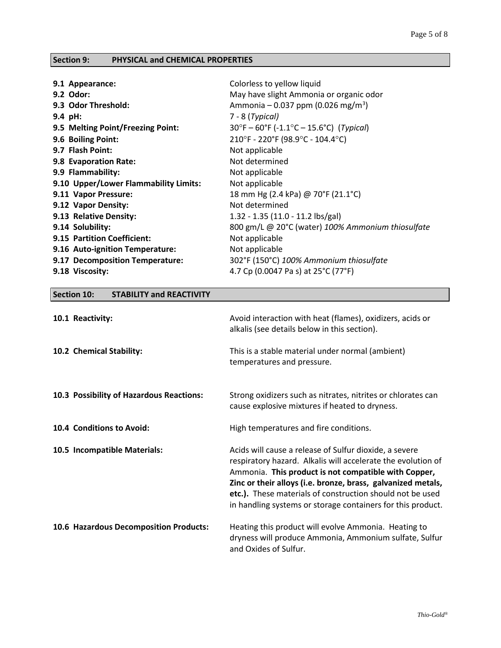# **Section 9: PHYSICAL and CHEMICAL PROPERTIES**

| Colorless to yellow liquid<br>May have slight Ammonia or organic odor<br>Ammonia – 0.037 ppm (0.026 mg/m <sup>3</sup> )<br>7 - 8 (Typical)<br>$30^{\circ}F - 60^{\circ}F (-1.1^{\circ}C - 15.6^{\circ}C)$ (Typical)<br>210°F - 220°F (98.9°C - 104.4°C)<br>Not applicable<br>Not determined<br>Not applicable<br>Not applicable<br>18 mm Hg (2.4 kPa) @ 70°F (21.1°C)<br>Not determined<br>1.32 - 1.35 (11.0 - 11.2 lbs/gal)<br>800 gm/L @ 20°C (water) 100% Ammonium thiosulfate<br>Not applicable |
|-----------------------------------------------------------------------------------------------------------------------------------------------------------------------------------------------------------------------------------------------------------------------------------------------------------------------------------------------------------------------------------------------------------------------------------------------------------------------------------------------------|
| Not applicable<br>302°F (150°C) 100% Ammonium thiosulfate<br>4.7 Cp (0.0047 Pa s) at 25°C (77°F)                                                                                                                                                                                                                                                                                                                                                                                                    |
|                                                                                                                                                                                                                                                                                                                                                                                                                                                                                                     |

# **Section 10: STABILITY and REACTIVITY**

| 10.1 Reactivity:                         | Avoid interaction with heat (flames), oxidizers, acids or<br>alkalis (see details below in this section).                                                                                                                                                                                                                                                                  |
|------------------------------------------|----------------------------------------------------------------------------------------------------------------------------------------------------------------------------------------------------------------------------------------------------------------------------------------------------------------------------------------------------------------------------|
| 10.2 Chemical Stability:                 | This is a stable material under normal (ambient)<br>temperatures and pressure.                                                                                                                                                                                                                                                                                             |
| 10.3 Possibility of Hazardous Reactions: | Strong oxidizers such as nitrates, nitrites or chlorates can<br>cause explosive mixtures if heated to dryness.                                                                                                                                                                                                                                                             |
| 10.4 Conditions to Avoid:                | High temperatures and fire conditions.                                                                                                                                                                                                                                                                                                                                     |
| 10.5 Incompatible Materials:             | Acids will cause a release of Sulfur dioxide, a severe<br>respiratory hazard. Alkalis will accelerate the evolution of<br>Ammonia. This product is not compatible with Copper,<br>Zinc or their alloys (i.e. bronze, brass, galvanized metals,<br>etc.). These materials of construction should not be used<br>in handling systems or storage containers for this product. |
| 10.6 Hazardous Decomposition Products:   | Heating this product will evolve Ammonia. Heating to<br>dryness will produce Ammonia, Ammonium sulfate, Sulfur<br>and Oxides of Sulfur.                                                                                                                                                                                                                                    |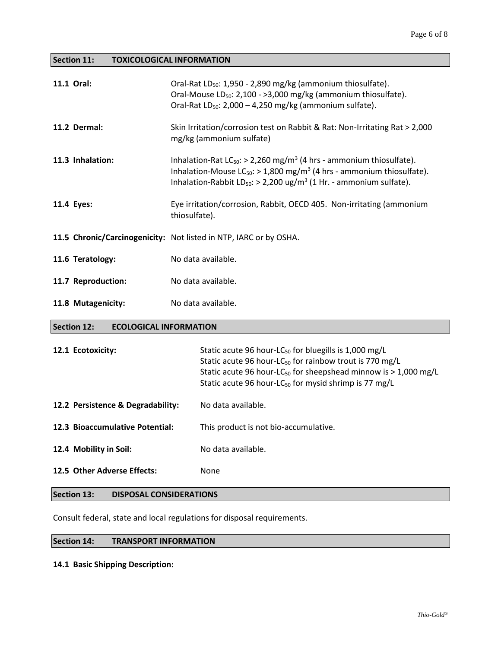**Section 11: TOXICOLOGICAL INFORMATION**

| 11.1 Oral:         | Oral-Rat LD <sub>50</sub> : 1,950 - 2,890 mg/kg (ammonium thiosulfate).<br>Oral-Mouse LD <sub>50</sub> : 2,100 - >3,000 mg/kg (ammonium thiosulfate).<br>Oral-Rat $LD_{50}$ : 2,000 – 4,250 mg/kg (ammonium sulfate).                                                        |
|--------------------|------------------------------------------------------------------------------------------------------------------------------------------------------------------------------------------------------------------------------------------------------------------------------|
| 11.2 Dermal:       | Skin Irritation/corrosion test on Rabbit & Rat: Non-Irritating Rat > 2,000<br>mg/kg (ammonium sulfate)                                                                                                                                                                       |
| 11.3 Inhalation:   | Inhalation-Rat $LC_{50}$ : > 2,260 mg/m <sup>3</sup> (4 hrs - ammonium thiosulfate).<br>Inhalation-Mouse $LC_{50}$ : > 1,800 mg/m <sup>3</sup> (4 hrs - ammonium thiosulfate).<br>Inhalation-Rabbit LD <sub>50</sub> : > 2,200 ug/m <sup>3</sup> (1 Hr. - ammonium sulfate). |
| 11.4 Eyes:         | Eye irritation/corrosion, Rabbit, OECD 405. Non-irritating (ammonium<br>thiosulfate).                                                                                                                                                                                        |
|                    | 11.5 Chronic/Carcinogenicity: Not listed in NTP, IARC or by OSHA.                                                                                                                                                                                                            |
| 11.6 Teratology:   | No data available.                                                                                                                                                                                                                                                           |
| 11.7 Reproduction: | No data available.                                                                                                                                                                                                                                                           |
| 11.8 Mutagenicity: | No data available.                                                                                                                                                                                                                                                           |

#### **Section 12: ECOLOGICAL INFORMATION**

| 12.1 Ecotoxicity:                 | Static acute 96 hour-LC <sub>50</sub> for bluegills is 1,000 mg/L<br>Static acute 96 hour-LC <sub>50</sub> for rainbow trout is 770 mg/L<br>Static acute 96 hour-LC <sub>50</sub> for sheepshead minnow is $>$ 1,000 mg/L<br>Static acute 96 hour-LC <sub>50</sub> for mysid shrimp is 77 mg/L |
|-----------------------------------|------------------------------------------------------------------------------------------------------------------------------------------------------------------------------------------------------------------------------------------------------------------------------------------------|
| 12.2 Persistence & Degradability: | No data available.                                                                                                                                                                                                                                                                             |
| 12.3 Bioaccumulative Potential:   | This product is not bio-accumulative.                                                                                                                                                                                                                                                          |
| 12.4 Mobility in Soil:            | No data available.                                                                                                                                                                                                                                                                             |
| 12.5 Other Adverse Effects:       | None                                                                                                                                                                                                                                                                                           |

# **Section 13: DISPOSAL CONSIDERATIONS**

Consult federal, state and local regulations for disposal requirements.

#### **Section 14: TRANSPORT INFORMATION**

#### **14.1 Basic Shipping Description:**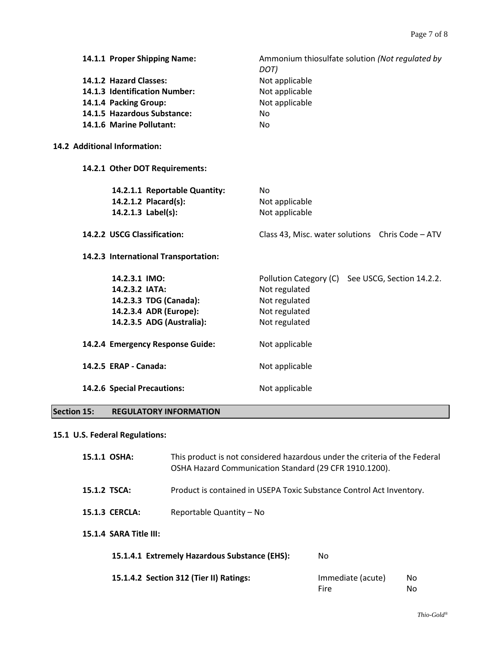| 14.1.1 Proper Shipping Name:<br>14.1.2 Hazard Classes:<br>14.1.3 Identification Number:<br>14.1.4 Packing Group:<br>14.1.5 Hazardous Substance:<br>14.1.6 Marine Pollutant: | Ammonium thiosulfate solution (Not regulated by<br>DOT)<br>Not applicable<br>Not applicable<br>Not applicable<br><b>No</b><br><b>No</b> |
|-----------------------------------------------------------------------------------------------------------------------------------------------------------------------------|-----------------------------------------------------------------------------------------------------------------------------------------|
| 14.2 Additional Information:                                                                                                                                                |                                                                                                                                         |
| 14.2.1 Other DOT Requirements:                                                                                                                                              |                                                                                                                                         |
| 14.2.1.1 Reportable Quantity:<br>14.2.1.2 Placard(s):<br>14.2.1.3 Label(s):                                                                                                 | <b>No</b><br>Not applicable<br>Not applicable                                                                                           |
| 14.2.2 USCG Classification:                                                                                                                                                 | Class 43, Misc. water solutions Chris Code - ATV                                                                                        |
|                                                                                                                                                                             |                                                                                                                                         |
| 14.2.3 International Transportation:                                                                                                                                        |                                                                                                                                         |
| 14.2.3.1 IMO:<br>14.2.3.2 IATA:<br>14.2.3.3 TDG (Canada):<br>14.2.3.4 ADR (Europe):<br>14.2.3.5 ADG (Australia):                                                            | Pollution Category (C) See USCG, Section 14.2.2.<br>Not regulated<br>Not regulated<br>Not regulated<br>Not regulated                    |
| 14.2.4 Emergency Response Guide:                                                                                                                                            | Not applicable                                                                                                                          |
| 14.2.5 ERAP - Canada:                                                                                                                                                       | Not applicable                                                                                                                          |

# **Section 15: REGULATORY INFORMATION**

# **15.1 U.S. Federal Regulations:**

| 15.1.1 OSHA: |                        | This product is not considered hazardous under the criteria of the Federal<br>OSHA Hazard Communication Standard (29 CFR 1910.1200). |                           |           |  |
|--------------|------------------------|--------------------------------------------------------------------------------------------------------------------------------------|---------------------------|-----------|--|
| 15.1.2 TSCA: |                        | Product is contained in USEPA Toxic Substance Control Act Inventory.                                                                 |                           |           |  |
|              | <b>15.1.3 CERCLA:</b>  | Reportable Quantity – No                                                                                                             |                           |           |  |
|              | 15.1.4 SARA Title III: |                                                                                                                                      |                           |           |  |
|              |                        | 15.1.4.1 Extremely Hazardous Substance (EHS):                                                                                        | No                        |           |  |
|              |                        | 15.1.4.2 Section 312 (Tier II) Ratings:                                                                                              | Immediate (acute)<br>Fire | No.<br>No |  |